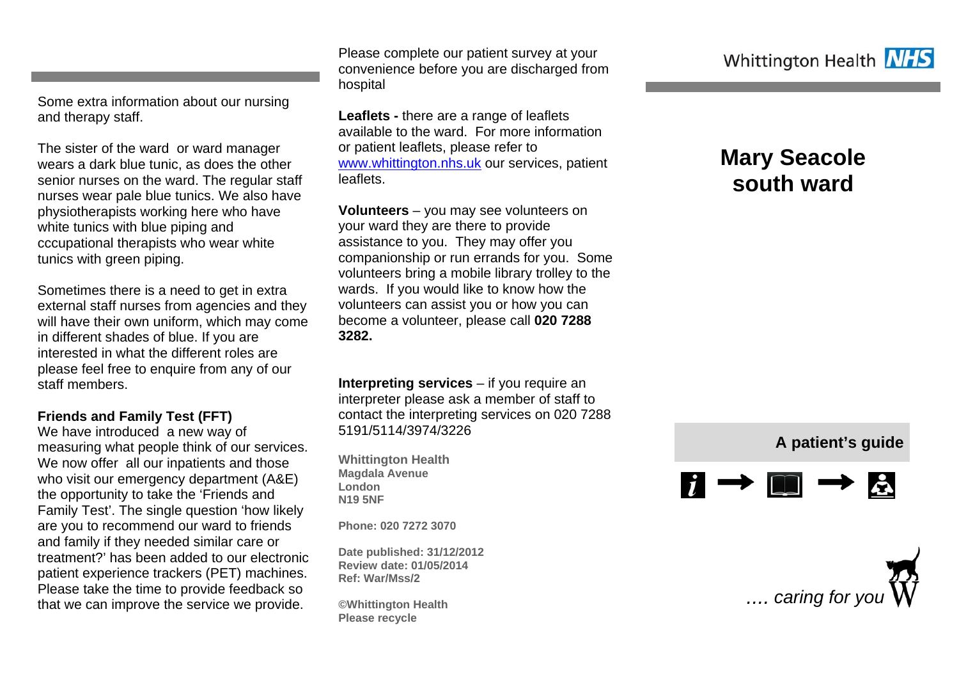Some extra information about our nursing and therapy staff.

The sister of the ward or ward manager wears a dark blue tunic, as does the other senior nurses on the ward. The regular staff nurses wear pale blue tunics. We also have physiotherapists working here who have white tunics with blue piping and cccupational therapists who wear white tunics with green piping.

Sometimes there is a need to get in extra external staff nurses from agencies and they will have their own uniform, which may come in different shades of blue. If you are interested in what the different roles are please feel free to enquire from any of our staff members.

#### **Friends and Family Test (FFT)**

We have introduced a new way of measuring what people think of our services. We now offer all our inpatients and those who visit our emergency department (A&E) the opportunity to take the 'Friends and Family Test'. The single question 'how likely are you to recommend our ward to friends and family if they needed similar care or treatment?' has been added to our electronic patient experience trackers (PET) machines. Please take the time to provide feedback so that we can improve the service we provide.

Please complete our patient survey at your convenience before you are discharged from hospital

**Leaflets -** there are a range of leaflets available to the ward. For more information or patient leaflets, please refer to www.whittington.nhs.uk our services, patient leaflets.

**Volunteers** – you may see volunteers on your ward they are there to provide assistance to you. They may offer you companionship or run errands for you. Some volunteers bring a mobile library trolley to the wards. If you would like to know how the volunteers can assist you or how you can become a volunteer, please call **020 7288 3282.** 

**Interpreting services** – if you require an interpreter please ask a member of staff to contact the interpreting services on 020 7288 5191/5114/3974/3226

**Whittington Health Magdala Avenue London N19 5NF** 

**Phone: 020 7272 3070** 

**Date published: 31/12/2012 Review date: 01/05/2014 Ref: War/Mss/2** 

**©Whittington Health Please recycle** 

# **Mary Seacole south ward**

## **A patient's guide**